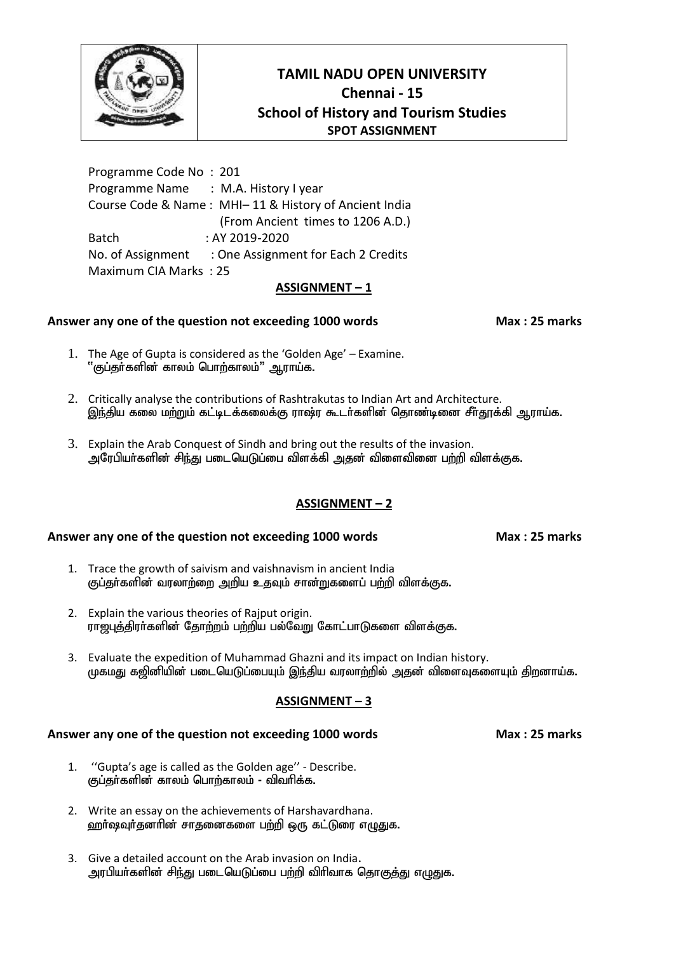

Programme Code No : 201 Programme Name : M.A. History I year Course Code & Name : MHI– 11 & History of Ancient India (From Ancient times to 1206 A.D.) Batch : AY 2019-2020 No. of Assignment : One Assignment for Each 2 Credits Maximum CIA Marks : 25

### **ASSIGNMENT – 1**

## **Answer any one of the question not exceeding 1000 words Max : 25 marks**

- 1. The Age of Gupta is considered as the 'Golden Age' Examine.  $``$ குப்தா்களின் காலம் பொற்காலம் $''$  ஆராய்க.
- 2. Critically analyse the contributions of Rashtrakutas to Indian Art and Architecture. <u>இந்</u>திய கலை மற்றும் கட்டிடக்கலைக்கு ராஷ்ர கூடர்களின் தொண்டினை சீர்தூக்கி ஆராய்க.
- 3. Explain the Arab Conquest of Sindh and bring out the results of the invasion. அரேபியர்களின் சிந்து படையெடுப்பை விளக்கி அதன் விளைவினை பற்றி விளக்குக.

## **ASSIGNMENT – 2**

### **Answer any one of the question not exceeding 1000 words Max : 25 marks**

- 1. Trace the growth of saivism and vaishnavism in ancient India குப்தர்களின் வரலாற்றை அறிய உதவும் சான்றுகளைப் பற்றி விளக்குக.
- 2. Explain the various theories of Rajput origin. ராற்புக்கிரர்களின் கோற்றம் பற்றிய பல்வேறு கோட்பாடுகளை விளக்குக.
- 3. Evaluate the expedition of Muhammad Ghazni and its impact on Indian history. முகமது கஜினியின் படையெடுப்பையும் இந்திய வரலாற்றில் அதன் விளைவுகளையும் திறனாய்க.

## **ASSIGNMENT – 3**

### **Answer any one of the question not exceeding 1000 words Max : 25 marks**

1. ''Gupta's age is called as the Golden age'' - Describe.

குப்தா்களின் காலம் பொற்காலம் - விவாிக்க.

- 2. Write an essay on the achievements of Harshavardhana.
- ஹர்ஷவுர்தனரின் சாதனைகளை பற்றி ஒரு கட்டுரை எழுதுக.
- 3. Give a detailed account on the Arab invasion on India. அரபியர்களின் சிந்து படையெடுப்பை பற்றி விரிவாக தொகுத்து எழுதுக.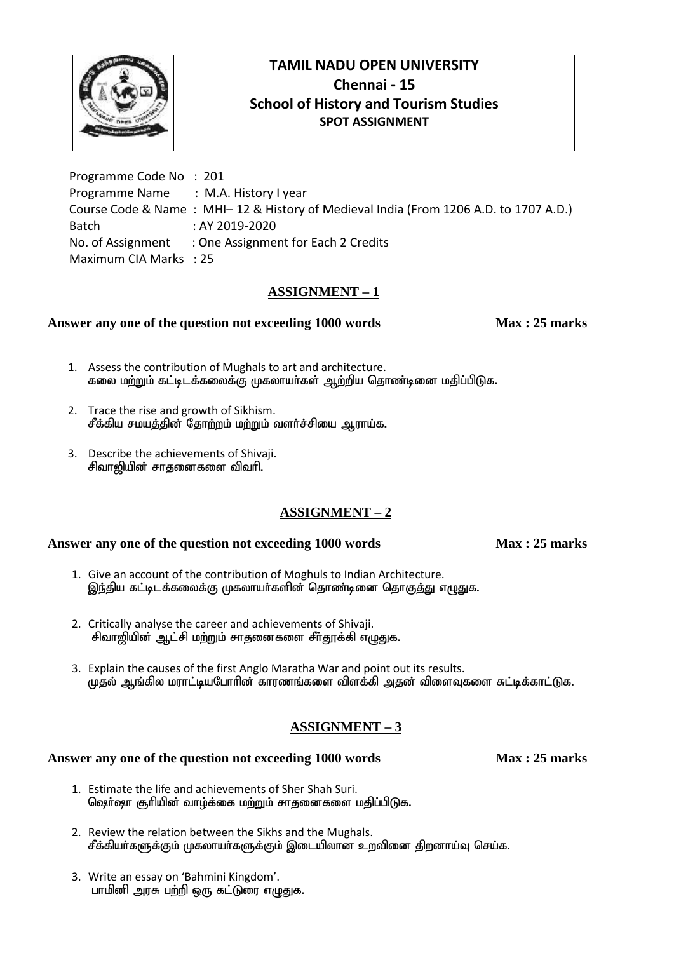

Programme Code No : 201 Programme Name : M.A. History I year Course Code & Name : MHI– 12 & History of Medieval India (From 1206 A.D. to 1707 A.D.) Batch : AY 2019-2020 No. of Assignment : One Assignment for Each 2 Credits Maximum CIA Marks : 25

# **ASSIGNMENT – 1**

# **Answer any one of the question not exceeding 1000 words Max : 25 marks**

- 1. Assess the contribution of Mughals to art and architecture. கலை மற்றும் கட்டிடக்கலைக்கு முகலாயர்கள் ஆற்றிய தொண்டினை மதிப்பிடுக.
- 2. Trace the rise and growth of Sikhism. சீக்கிய சமயத்தின் தோற்றம் மற்றும் வளர்ச்சியை ஆராய்க.
- 3. Describe the achievements of Shivaji. சிவாஜியின் சாதனைகளை விவரி.

# **ASSIGNMENT – 2**

## **Answer any one of the question not exceeding 1000 words Max : 25 marks**

1. Give an account of the contribution of Moghuls to Indian Architecture. இந்திய கட்டிடக்கலைக்கு முகலாயர்களின் தொண்டினை தொகுத்து எழுதுக.

- 2. Critically analyse the career and achievements of Shivaji. சிவாஜியின் ஆட்சி மற்றும் சாதனைகளை சீர்தூக்கி எழுதுக.
- 3. Explain the causes of the first Anglo Maratha War and point out its results. முதல் ஆங்கில மராட்டியபோரின் காரணங்களை விளக்கி அதன் விளைவுகளை சுட்டிக்காட்டுக.

# **ASSIGNMENT – 3**

- 1. Estimate the life and achievements of Sher Shah Suri. ஜெர்ஷா சூரியின் வாழ்க்கை மற்றும் சாதனைகளை மதிப்பிடுக.
- 2. Review the relation between the Sikhs and the Mughals. சீக்கியா்களுக்கும் முகலாயா்களுக்கும் இடையிலான உறவினை திறனாய்வு செய்க.
- 3. Write an essay on 'Bahmini Kingdom'. பாமினி அரசு பற்றி ஒரு கட்டுரை எழுதுக.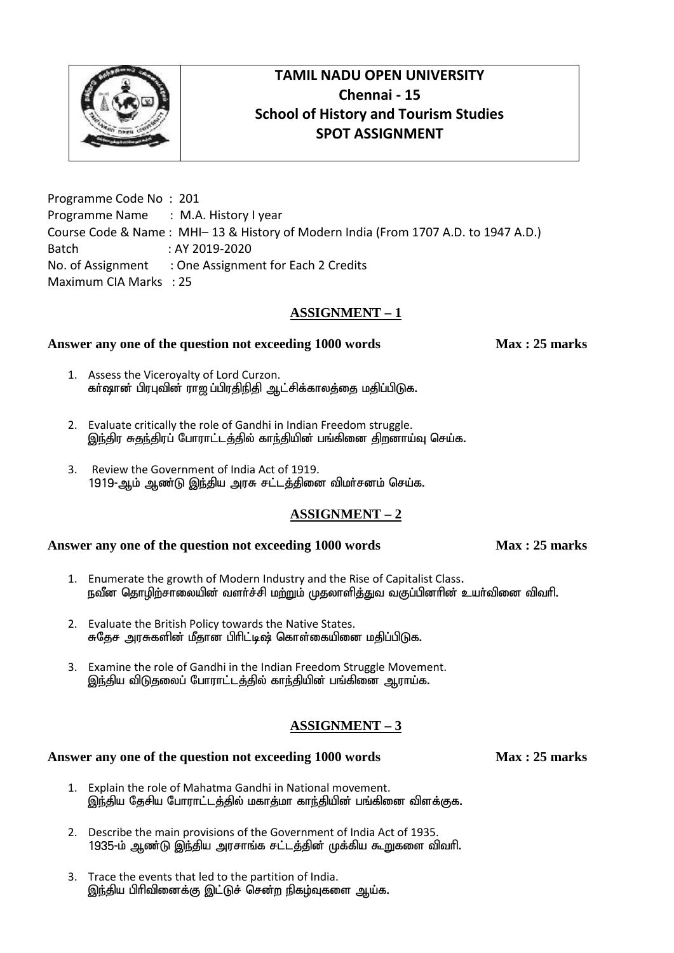

Programme Code No : 201 Programme Name : M.A. History I year Course Code & Name : MHI– 13 & History of Modern India (From 1707 A.D. to 1947 A.D.) Batch : AY 2019-2020 No. of Assignment : One Assignment for Each 2 Credits Maximum CIA Marks : 25

# **ASSIGNMENT – 1**

### **Answer any one of the question not exceeding 1000 words Max : 25 marks**

- 1. Assess the Viceroyalty of Lord Curzon. கர்ஷான் பிரபுவின் ராஜப்பிரதிநிதி ஆட்சிக்காலத்தை மதிப்பிடுக.
- 2. Evaluate critically the role of Gandhi in Indian Freedom struggle. இந்திர சுதந்திரப் போராட்டத்தில் காந்தியின் பங்கினை திறனாய்வு செய்க.
- 3. Review the Government of India Act of 1919. 1919-ஆம் ஆண்டு இந்திய அரசு சட்டத்தினை விமர்சனம் செய்க.

## **ASSIGNMENT – 2**

### **Answer any one of the question not exceeding 1000 words Max : 25 marks**

- 1. Enumerate the growth of Modern Industry and the Rise of Capitalist Class. நவீன தொழிற்சாலையின் வளர்ச்சி மற்றும் முதலாளித்துவ வகுப்பினரின் உயர்வினை விவரி.
- 2. Evaluate the British Policy towards the Native States. சுகேச அரசுகளின் மீதான பிரிட்டிஷ் கொள்கையினை மதிப்பிடுக.
- 3. Examine the role of Gandhi in the Indian Freedom Struggle Movement. இந்திய விடுதலைப் போராட்டத்தில் காந்தியின் பங்கினை ஆராய்க.

# **ASSIGNMENT – 3**

- 1. Explain the role of Mahatma Gandhi in National movement. இந்திய தேசிய போராட்டத்தில் மகாத்மா காந்தியின் பங்கினை விளக்குக.
- 2. Describe the main provisions of the Government of India Act of 1935. 1935-ம் ஆண்டு இந்திய அரசாங்க சட்டத்தின் முக்கிய கூறுகளை விவரி.
- 3. Trace the events that led to the partition of India. இந்திய பிரிவினைக்கு இட்டுச் சென்ற நிகழ்வுகளை ஆய்க.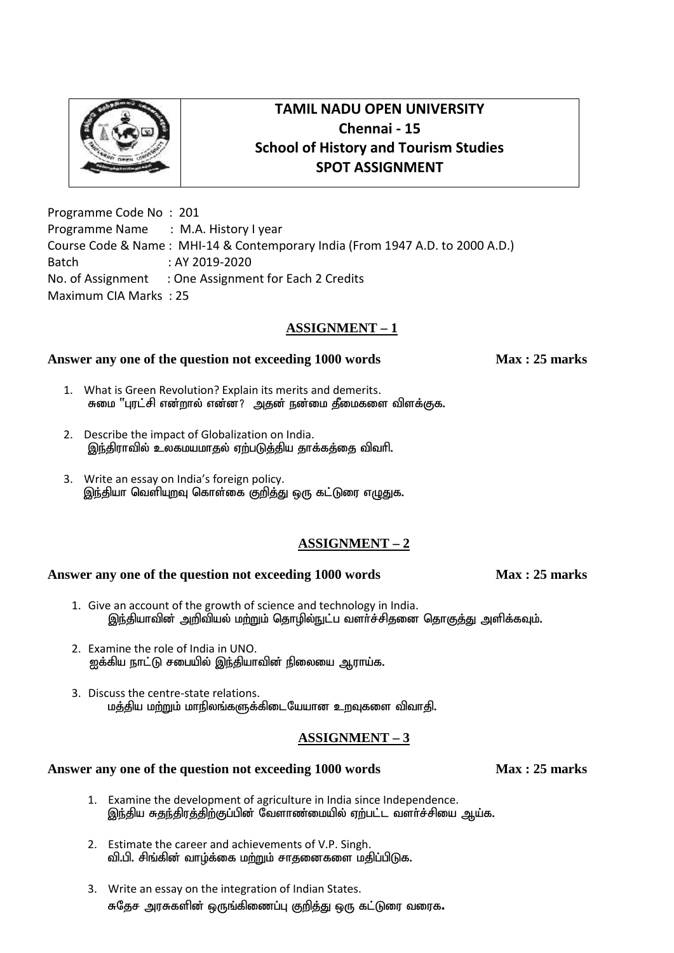Programme Code No : 201 Programme Name : M.A. History I year Course Code & Name : MHI-14 & Contemporary India (From 1947 A.D. to 2000 A.D.) Batch : AY 2019-2020 No. of Assignment : One Assignment for Each 2 Credits Maximum CIA Marks : 25

# **ASSIGNMENT – 1**

## **Answer any one of the question not exceeding 1000 words Max : 25 marks**

- 1. What is Green Revolution? Explain its merits and demerits. சுமை "புரட்சி என்றால் என்ன? அதன் நன்மை தீமைகளை விளக்குக.
- 2. Describe the impact of Globalization on India. இந்திராவில் உலகமயமாதல் ஏற்படுத்திய தாக்கத்தை விவரி.
- 3. Write an essay on India's foreign policy. இந்தியா வெளியுறவு கொள்கை குறித்து ஒரு கட்டுரை எழுதுக.

# **ASSIGNMENT – 2**

### **Answer any one of the question not exceeding 1000 words Max : 25 marks**

- 1. Give an account of the growth of science and technology in India. <u>இந்</u>தியாவின் அறிவியல் மற்றும் தொழில்நுட்ப வளர்ச்சிதனை தொகுத்து அளிக்கவும்.
- 2. Examine the role of India in UNO. <u>ஐ</u>க்கிய நாட்டு சபையில் இந்தியாவின் நிலையை ஆராய்க.
- 3. Discuss the centre-state relations. மத்திய மற்றும் மாநிலங்களுக்கிடையேயான உறவுகளை விவாதி.

## **ASSIGNMENT – 3**

- 1. Examine the development of agriculture in India since Independence. இந்திய சுதந்திரத்திற்குப்பின் வேளாண்மையில் ஏற்பட்ட வளர்ச்சியை ஆய்க.
- 2. Estimate the career and achievements of V.P. Singh. வி.பி. சிங்கின் வாழ்க்கை மற்றும் சாதனைகளை மதிப்பிடுக.
- 3. Write an essay on the integration of Indian States. சுதேச அரசுகளின் ஒருங்கிணைப்பு குறித்து ஒரு கட்டுரை வரைக.

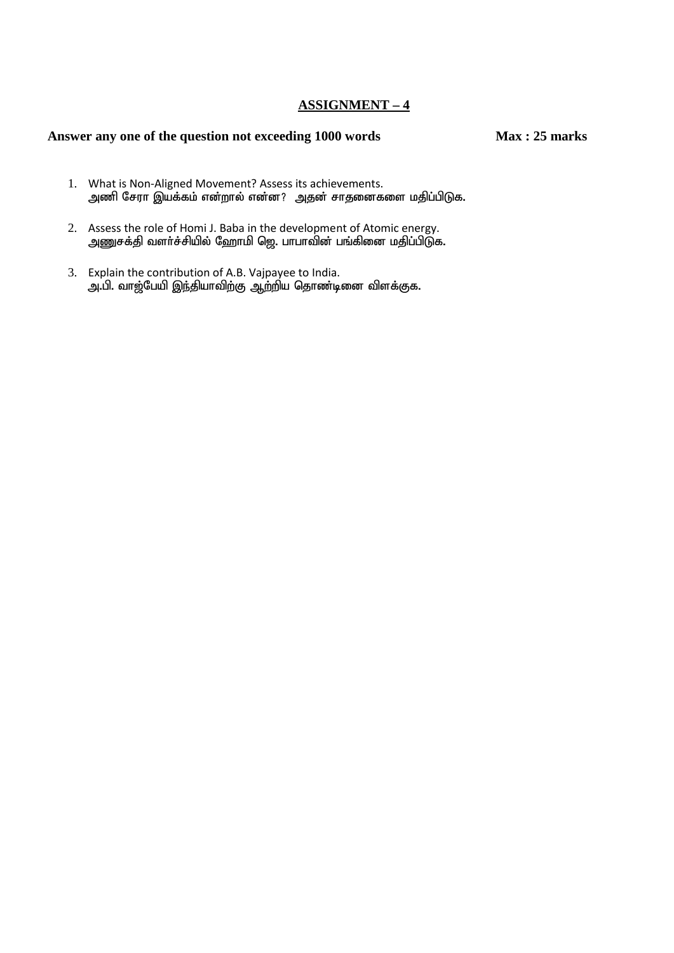### **ASSIGNMENT – 4**

- 1. What is Non-Aligned Movement? Assess its achievements. அணி சேரா இயக்கம் என்றால் என்ன? அதன் சாதனைகளை மதிப்பிடுக.
- 2. Assess the role of Homi J. Baba in the development of Atomic energy. massas the reference in the season, the second principle income shore, and the season of the season of gamma i
- 3. Explain the contribution of A.B. Vajpayee to India. அ.பி. வாஜ்பேயி இந்தியாவிற்கு ஆற்றிய தொண்டினை விளக்குக.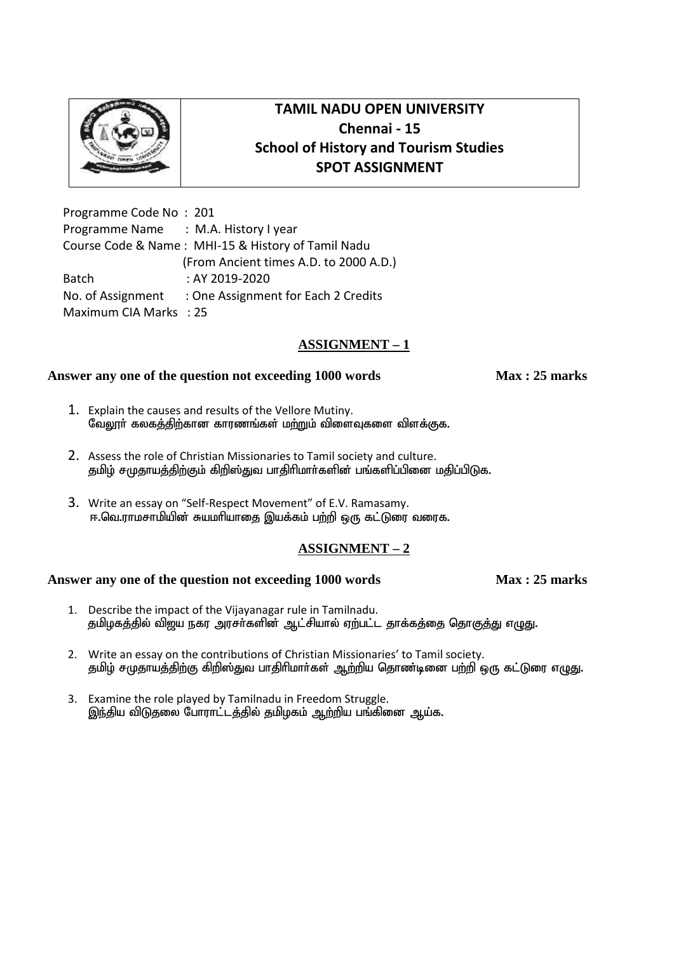

Programme Code No : 201 Programme Name : M.A. History I year Course Code & Name : MHI-15 & History of Tamil Nadu (From Ancient times A.D. to 2000 A.D.) Batch : AY 2019-2020 No. of Assignment : One Assignment for Each 2 Credits Maximum CIAMarks : 25

# **ASSIGNMENT – 1**

### **Answer any one of the question not exceeding 1000 words Max : 25 marks**

- 1. Explain the causes and results of the Vellore Mutiny. வேலூர் கலகத்திற்கான காரணங்கள் மற்றும் விளைவுகளை விளக்குக.
- 2. Assess the role of Christian Missionaries to Tamil society and culture. தமிழ் சமுதாயத்திற்கும் கிறிஸ்துவ பாதிரிமார்களின் பங்களிப்பினை மதிப்பிடுக.
- 3. Write an essay on "Self-Respect Movement" of E.V. Ramasamy. ஈ.வெ.ராமசாமியின் சுயமரியாகை இயக்கம் பற்றி ஒரு கட்டுரை வரைக.

## **ASSIGNMENT – 2**

- 1. Describe the impact of the Vijayanagar rule in Tamilnadu. தமிழகத்தில் விஜய நகர அரசர்களின் ஆட்சியால் ஏற்பட்ட தாக்கத்தை தொகுத்து எழுது.
- 2. Write an essay on the contributions of Christian Missionaries' to Tamil society. தமிழ் சமுதாயத்திற்கு கிறிஸ்துவ பாதிரிமார்கள் ஆற்றிய தொண்டினை பற்றி ஒரு கட்டுரை எழுது.
- 3. Examine the role played by Tamilnadu in Freedom Struggle. இந்திய விடுகலை போராட்டத்தில் தமிழகம் ஆற்றிய பங்கினை ஆய்க.